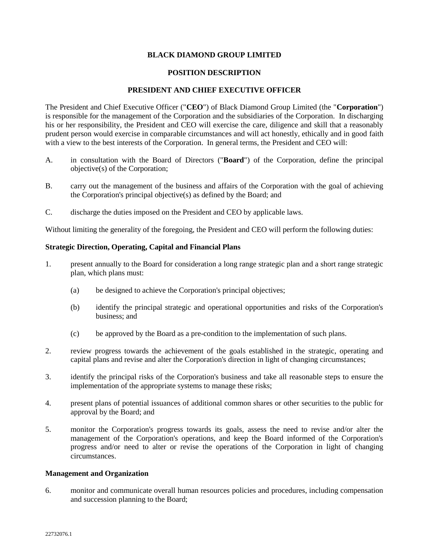# **BLACK DIAMOND GROUP LIMITED**

### **POSITION DESCRIPTION**

## **PRESIDENT AND CHIEF EXECUTIVE OFFICER**

The President and Chief Executive Officer ("**CEO**") of Black Diamond Group Limited (the "**Corporation**") is responsible for the management of the Corporation and the subsidiaries of the Corporation. In discharging his or her responsibility, the President and CEO will exercise the care, diligence and skill that a reasonably prudent person would exercise in comparable circumstances and will act honestly, ethically and in good faith with a view to the best interests of the Corporation. In general terms, the President and CEO will:

- A. in consultation with the Board of Directors ("**Board**") of the Corporation, define the principal objective(s) of the Corporation;
- B. carry out the management of the business and affairs of the Corporation with the goal of achieving the Corporation's principal objective(s) as defined by the Board; and
- C. discharge the duties imposed on the President and CEO by applicable laws.

Without limiting the generality of the foregoing, the President and CEO will perform the following duties:

# **Strategic Direction, Operating, Capital and Financial Plans**

- 1. present annually to the Board for consideration a long range strategic plan and a short range strategic plan, which plans must:
	- (a) be designed to achieve the Corporation's principal objectives;
	- (b) identify the principal strategic and operational opportunities and risks of the Corporation's business; and
	- (c) be approved by the Board as a pre-condition to the implementation of such plans.
- 2. review progress towards the achievement of the goals established in the strategic, operating and capital plans and revise and alter the Corporation's direction in light of changing circumstances;
- 3. identify the principal risks of the Corporation's business and take all reasonable steps to ensure the implementation of the appropriate systems to manage these risks;
- 4. present plans of potential issuances of additional common shares or other securities to the public for approval by the Board; and
- 5. monitor the Corporation's progress towards its goals, assess the need to revise and/or alter the management of the Corporation's operations, and keep the Board informed of the Corporation's progress and/or need to alter or revise the operations of the Corporation in light of changing circumstances.

#### **Management and Organization**

6. monitor and communicate overall human resources policies and procedures, including compensation and succession planning to the Board;